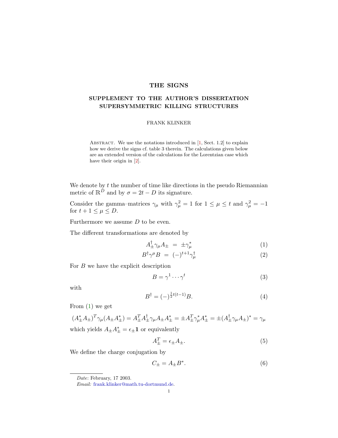## THE SIGNS

## SUPPLEMENT TO THE AUTHOR'S DISSERTATION SUPERSYMMETRIC KILLING STRUCTURES

## FRANK KLINKER

ABSTRACT. We use the notations introduced in  $[1, Sect. 1.2]$  $[1, Sect. 1.2]$  to explain how we derive the signs cf. table 3 therein. The calculations given below are an extended version of the calculations for the Lorentzian case which have their origin in [\[2\]](#page-4-1).

We denote by  $t$  the number of time like directions in the pseudo Riemannian metric of  $\mathbb{R}^{\tilde{D}}$  and by  $\sigma = 2t - D$  its signature.

Consider the gamma–matrices  $\gamma_{\mu}$  with  $\gamma_{\mu}^2 = 1$  for  $1 \leq \mu \leq t$  and  $\gamma_{\mu}^2 = -1$ for  $t+1 \leq \mu \leq D$ .

Furthermore we assume  $D$  to be even.

The different transformations are denoted by

$$
A_{\pm}^{\dagger} \gamma_{\mu} A_{\pm} = \pm \gamma_{\mu}^{*} \tag{1}
$$

$$
B^{\dagger} \gamma^{\mu} B = (-)^{t+1} \gamma_{\mu}^{\dagger} \tag{2}
$$

For  $B$  we have the explicit description

<span id="page-0-3"></span><span id="page-0-0"></span>
$$
B = \gamma^1 \cdots \gamma^t \tag{3}
$$

with

<span id="page-0-2"></span>
$$
B^{\dagger} = (-)^{\frac{1}{2}t(t-1)}B.
$$
 (4)

From [\(1\)](#page-0-0) we get

<span id="page-0-1"></span>
$$
(A_{\pm}^* A_{\pm})^T \gamma_{\mu} (A_{\pm} A_{\pm}^*) = A_{\pm}^T A_{\pm}^{\dagger} \gamma_{\mu} A_{\pm} A_{\pm}^* = \pm A_{\pm}^T \gamma_{\mu}^* A_{\pm}^* = \pm (A_{\pm}^{\dagger} \gamma_{\mu} A_{\pm})^* = \gamma_{\mu}
$$

which yields 
$$
A_{\pm}A_{\pm}^* = \epsilon_{\pm}\mathbf{1}
$$
 or equivalently

$$
A_{\pm}^T = \epsilon_{\pm} A_{\pm}.\tag{5}
$$

We define the charge conjugation by

<span id="page-0-4"></span>
$$
C_{\pm} = A_{\pm} B^*.
$$
 (6)

Date: February, 17 2003.

Email: [frank.klinker@math.tu-dortmund.de.](mailto:frank.klinker@math.tu-dortmund.de)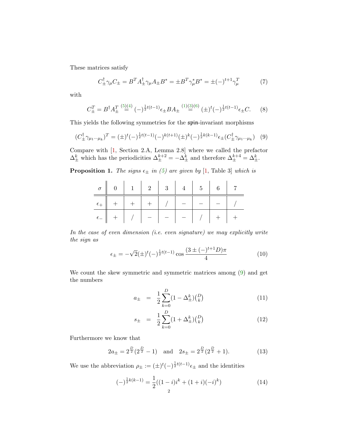These matrices satisfy

$$
C^{\dagger}_{\pm}\gamma_{\mu}C_{\pm} = B^{T}A^{\dagger}_{\pm}\gamma_{\mu}A_{\pm}B^{*} = \pm B^{T}\gamma_{\mu}^{*}B^{*} = \pm(-)^{t+1}\gamma_{\mu}^{T}
$$
 (7)

with

$$
C_{\pm}^{T} = B^{\dagger} A_{\pm}^{T} \stackrel{(5)(4)}{=} (-)^{\frac{1}{2}t(t-1)} \epsilon_{\pm} B A_{\pm} \stackrel{(1)(3)(6)}{=} (\pm)^{t} (-)^{\frac{1}{2}t(t-1)} \epsilon_{\pm} C. \tag{8}
$$

This yields the following symmetries for the spin-invariant morphisms

<span id="page-1-0"></span>
$$
(C^{\dagger}_{\pm}\gamma_{\mu_1\cdots\mu_k})^T = (\pm)^t (-)^{\frac{1}{2}t(t-1)}(-)^{k(t+1)}(\pm)^k (-)^{\frac{1}{2}k(k-1)}\epsilon_{\pm}(C^{\dagger}_{\pm}\gamma_{\mu_1\cdots\mu_k})
$$
(9)

Compare with [\[1,](#page-4-0) Section 2.A, Lemma 2.8] where we called the prefactor  $\Delta_{\pm}^{k}$  which has the periodicities  $\Delta_{\pm}^{k+2} = -\Delta_{\pm}^{k}$  and therefore  $\Delta_{\pm}^{k+4} = \Delta_{\pm}^{k}$ .

**Proposition 1.** The signs  $\epsilon_{\pm}$  in [\(5\)](#page-0-1) are given by [\[1,](#page-4-0) Table 3] which is

| $\epsilon_{+}$ + + + + / + - -                                                                                               |  |  |  |  |
|------------------------------------------------------------------------------------------------------------------------------|--|--|--|--|
| $\epsilon$ - $\parallel$ + $\parallel$ / $\parallel$ - $\parallel$ - $\parallel$ - $\parallel$ / $\parallel$ + $\parallel$ + |  |  |  |  |

In the case of even dimension (i.e. even signature) we may explicitly write the sign as

$$
\epsilon_{\pm} = -\sqrt{2}(\pm)^{t}(-)^{\frac{1}{2}t(t-1)}\cos\frac{(3\pm(-)^{t+1}D)\pi}{4}
$$
\n(10)

We count the skew symmetric and symmetric matrices among [\(9\)](#page-1-0) and get the numbers

<span id="page-1-1"></span>
$$
a_{\pm} = \frac{1}{2} \sum_{k=0}^{D} (1 - \Delta_{\pm}^{k}) {D \choose k} \tag{11}
$$

$$
s_{\pm} = \frac{1}{2} \sum_{k=0}^{D} (1 + \Delta_{\pm}^{k}) {D \choose k} \tag{12}
$$

Furthermore we know that

<span id="page-1-2"></span>
$$
2a_{\pm} = 2^{\frac{D}{2}}(2^{\frac{D}{2}} - 1)
$$
 and  $2s_{\pm} = 2^{\frac{D}{2}}(2^{\frac{D}{2}} + 1).$  (13)

We use the abbreviation  $\rho_{\pm} := (\pm)^t (-)^{\frac{1}{2}t(t-1)} \epsilon_{\pm}$  and the identities

$$
(-)^{\frac{1}{2}k(k-1)} = \frac{1}{2}((1-i)i^k + (1+i)(-i)^k)
$$
\n(14)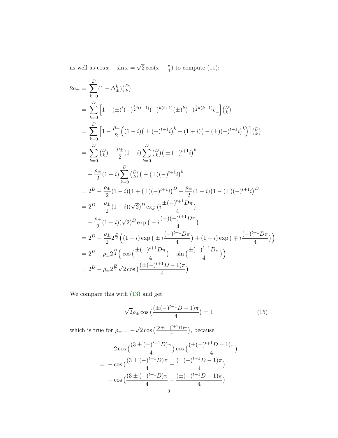as well as  $\cos x + \sin x =$ √  $\overline{2}\cos(x-\frac{\pi}{4})$  $\frac{\pi}{4}$ ) to compute [\(11\)](#page-1-1):

$$
2a_{\pm} = \sum_{k=0}^{D} (1 - \Delta_{\pm}^{k}) {D \choose k}
$$
  
\n
$$
= \sum_{k=0}^{D} \left[ 1 - (\pm)^{t} (-)^{\frac{1}{2}t(t-1)} (-)^{k(t+1)} (\pm)^{k} (-)^{\frac{1}{2}k(k-1)} \epsilon_{\pm} \right] {D \choose k}
$$
  
\n
$$
= \sum_{k=0}^{D} \left[ 1 - \frac{\rho_{\pm}}{2} \left( (1-i) \left( \pm (-)^{t+1} i \right)^{k} + (1+i) \left( - (\pm)(-)^{t+1} i \right)^{k} \right) \right] {D \choose k}
$$
  
\n
$$
= \sum_{k=0}^{D} {D \choose k} - \frac{\rho_{\pm}}{2} (1-i) \sum_{k=0}^{D} {D \choose k} (\pm (-)^{t+1} i)^{k}
$$
  
\n
$$
- \frac{\rho_{\pm}}{2} (1+i) \sum_{k=0}^{D} {D \choose k} (- (\pm)(-)^{t+1} i)^{k}
$$
  
\n
$$
= 2^{D} - \frac{\rho_{\pm}}{2} (1-i) (1 + (\pm)(-)^{t+1} i)^{D} - \frac{\rho_{\pm}}{2} (1+i) (1 - (\pm)(-)^{t+1} i)^{D}
$$
  
\n
$$
= 2^{D} - \frac{\rho_{\pm}}{2} (1-i) (\sqrt{2})^{D} \exp \left( i \frac{\pm (-)^{t+1} D \pi}{4} \right)
$$
  
\n
$$
= 2^{D} - \frac{\rho_{\pm}}{2} 2^{\frac{D}{2}} \left( (1-i) \exp \left( \pm i \frac{(-)^{t+1} D \pi}{4} \right) + (1+i) \exp \left( \mp i \frac{(-)^{t+1} D \pi}{4} \right) \right)
$$
  
\n
$$
= 2^{D} - \rho_{\pm} 2^{\frac{D}{2}} \left( \cos \left( \frac{\pm (-)^{t+1} D \pi}{4} \right) + \sin \left( \frac{\pm (-)^{t+1} D \pi}{4} \right) \right)
$$
  
\n
$$
= 2^{D} - \rho_{\pm} 2^{\frac{D}{2}} \sqrt{2} \cos \left( \frac
$$

We compare this with [\(13\)](#page-1-2) and get

$$
\sqrt{2}\rho_{\pm}\cos\left(\frac{(\pm(-)^{t+1}D-1)\pi}{4}\right) = 1\tag{15}
$$

which is true for  $\rho_{\pm} = \sqrt{2} \cos \left( \frac{(3 \pm (-)^{t+1}D)\pi}{4} \right)$  $\frac{1}{4}^{(\iota+1)}$ , because

$$
-2\cos\left(\frac{(3\pm(-)^{t+1}D)\pi}{4}\right)\cos\left(\frac{(\pm(-)^{t+1}D-1)\pi}{4}\right)
$$
  
=  $-\cos\left(\frac{(3\pm(-)^{t+1}D)\pi}{4}-\frac{(\pm(-)^{t+1}D-1)\pi}{4}\right)$   
 $-\cos\left(\frac{(3\pm(-)^{t+1}D)\pi}{4}+\frac{(\pm(-)^{t+1}D-1)\pi}{4}\right)$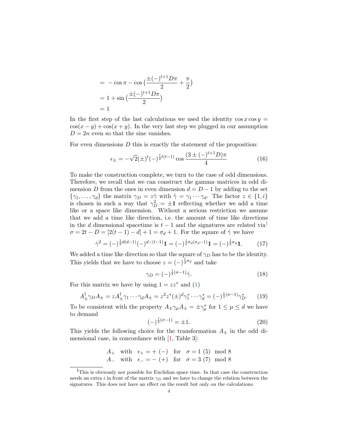$$
= -\cos \pi - \cos \left(\frac{\pm (-)^{t+1}D\pi}{2} + \frac{\pi}{2}\right)
$$

$$
= 1 + \sin \left(\frac{\pm (-)^{t+1}D\pi}{2}\right)
$$

$$
= 1
$$

In the first step of the last calculations we used the identity  $\cos x \cos y =$  $\cos(x-y) + \cos(x+y)$ . In the very last step we plugged in our assumption  $D = 2n$  even so that the sine vanishes.

For even dimensions  $D$  this is exactly the statement of the proposition:

$$
\epsilon_{\pm} = -\sqrt{2}(\pm)^{t}(-)^{\frac{1}{2}t(t-1)}\cos\frac{(3\pm(-)^{t+1}D)\pi}{4}
$$
\n(16)

To make the construction complete, we turn to the case of odd dimensions. Therefore, we recall that we can construct the gamma–matrices in odd dimension D from the ones in even dimension  $d = D - 1$  by adding to the set  $\{\gamma_1,\ldots,\gamma_d\}$  the matrix  $\gamma_D = z\hat{\gamma}$  with  $\hat{\gamma} = \gamma_1 \cdots \gamma_d$ . The factor  $z \in \{1,i\}$ is chosen in such a way that  $\gamma_D^2 = \pm 1$  reflecting whether we add a time like or a space like dimension. Without a serious restriction we assume that we add a time like direction, i.e. the amount of time like directions in the d dimensional spacetime is  $t-1$  $t-1$  and the signatures are related via<sup>1</sup>  $\sigma = 2t - D = [2(t-1) - d] + 1 = \sigma_d + 1$ . For the square of  $\hat{\gamma}$  we have

$$
\hat{\gamma}^2 = (-)^{\frac{1}{2}d(d-1)}(-)^{d-(t-1)}\mathbf{1} = (-)^{\frac{1}{2}\sigma_d(\sigma_d - 1)}\mathbf{1} = (-)^{\frac{1}{2}\sigma_d}\mathbf{1}.
$$
 (17)

We added a time like direction so that the square of  $\gamma_D$  has to be the identity. This yields that we have to choose  $z = (-)^{\frac{1}{4}\sigma_d}$  and take

$$
\gamma_D = (-)^{\frac{1}{4}(\sigma - 1)} \hat{\gamma}.
$$
\n(18)

For this matrix we have by using  $1 = zz^*$  and  $(1)$ 

$$
A_{\pm}^{\dagger} \gamma_D A_{\pm} = z A_{\pm}^{\dagger} \gamma_1 \cdots \gamma_d A_{\pm} = z^2 z^* (\pm)^d \gamma_1^* \cdots \gamma_d^* = (-)^{\frac{1}{2}(\sigma - 1)} \gamma_D^*.
$$
 (19)

To be consistent with the property  $A_{\pm}\gamma_{\mu}A_{\pm} = \pm \gamma_{\mu}^{*}$  for  $1 \leq \mu \leq d$  we have to demand

$$
(-)^{\frac{1}{2}(\sigma - 1)} = \pm 1.
$$
\n(20)

This yields the following choice for the transformation  $A_{\pm}$  in the odd dimensional case, in concordance with [\[1,](#page-4-0) Table 3]:

> A<sub>+</sub> with  $\epsilon_+ = +$  (−) for  $\sigma = 1$  (5) mod 8 A<sub>-</sub> with  $\epsilon_- = -$  (+) for  $\sigma = 3$  (7) mod 8

<span id="page-3-0"></span><sup>1</sup>This is obviously not possible for Euclidian space time. In that case the construction needs an extra i in front of the matrix  $\gamma_D$  and we have to change the relation between the signatures. This does not have an effect on the result but only on the calculations.